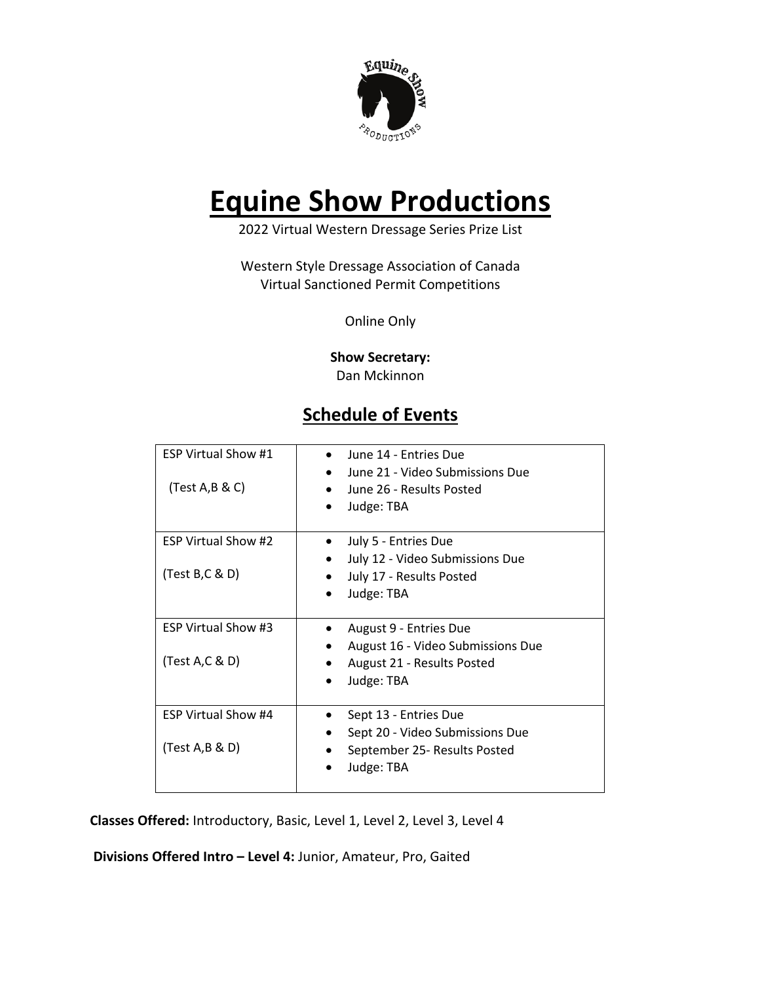

## **Equine Show Productions**

2022 Virtual Western Dressage Series Prize List

Western Style Dressage Association of Canada Virtual Sanctioned Permit Competitions

Online Only

**Show Secretary:** Dan Mckinnon

## **Schedule of Events**

| <b>ESP Virtual Show #1</b><br>(Test A,B & C)  | June 14 - Entries Due<br>June 21 - Video Submissions Due<br>June 26 - Results Posted<br>Judge: TBA      |
|-----------------------------------------------|---------------------------------------------------------------------------------------------------------|
| <b>ESP Virtual Show #2</b><br>(Test B, C & D) | July 5 - Entries Due<br>July 12 - Video Submissions Due<br>July 17 - Results Posted<br>Judge: TBA       |
| <b>ESP Virtual Show #3</b><br>(Test A,C & D)  | August 9 - Entries Due<br>August 16 - Video Submissions Due<br>August 21 - Results Posted<br>Judge: TBA |
| <b>ESP Virtual Show #4</b><br>(Test A,B & D)  | Sept 13 - Entries Due<br>Sept 20 - Video Submissions Due<br>September 25- Results Posted<br>Judge: TBA  |

**Classes Offered:** Introductory, Basic, Level 1, Level 2, Level 3, Level 4

**Divisions Offered Intro – Level 4:** Junior, Amateur, Pro, Gaited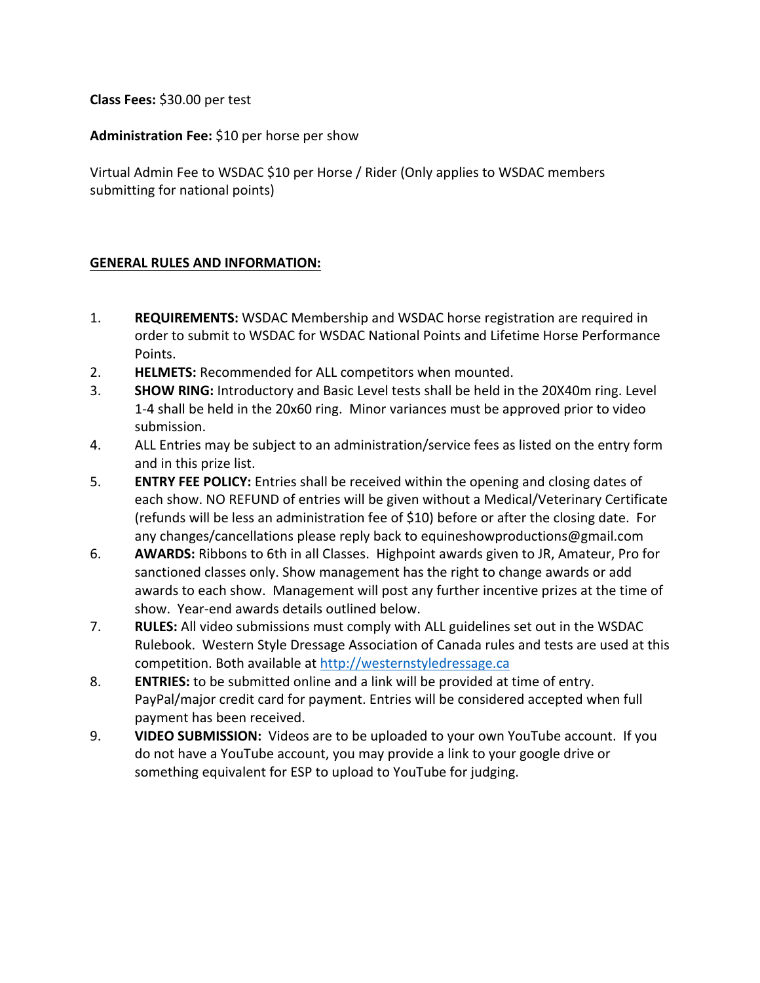**Class Fees:** \$30.00 per test

**Administration Fee:** \$10 per horse per show

Virtual Admin Fee to WSDAC \$10 per Horse / Rider (Only applies to WSDAC members submitting for national points)

## **GENERAL RULES AND INFORMATION:**

- 1. **REQUIREMENTS:** WSDAC Membership and WSDAC horse registration are required in order to submit to WSDAC for WSDAC National Points and Lifetime Horse Performance Points.
- 2. **HELMETS:** Recommended for ALL competitors when mounted.
- 3. **SHOW RING:** Introductory and Basic Level tests shall be held in the 20X40m ring. Level 1-4 shall be held in the 20x60 ring. Minor variances must be approved prior to video submission.
- 4. ALL Entries may be subject to an administration/service fees as listed on the entry form and in this prize list.
- 5. **ENTRY FEE POLICY:** Entries shall be received within the opening and closing dates of each show. NO REFUND of entries will be given without a Medical/Veterinary Certificate (refunds will be less an administration fee of \$10) before or after the closing date. For any changes/cancellations please reply back to equineshowproductions@gmail.com
- 6. **AWARDS:** Ribbons to 6th in all Classes. Highpoint awards given to JR, Amateur, Pro for sanctioned classes only. Show management has the right to change awards or add awards to each show. Management will post any further incentive prizes at the time of show. Year-end awards details outlined below.
- 7. **RULES:** All video submissions must comply with ALL guidelines set out in the WSDAC Rulebook. Western Style Dressage Association of Canada rules and tests are used at this competition. Both available at http://westernstyledressage.ca
- 8. **ENTRIES:** to be submitted online and a link will be provided at time of entry. PayPal/major credit card for payment. Entries will be considered accepted when full payment has been received.
- 9. **VIDEO SUBMISSION:** Videos are to be uploaded to your own YouTube account. If you do not have a YouTube account, you may provide a link to your google drive or something equivalent for ESP to upload to YouTube for judging.